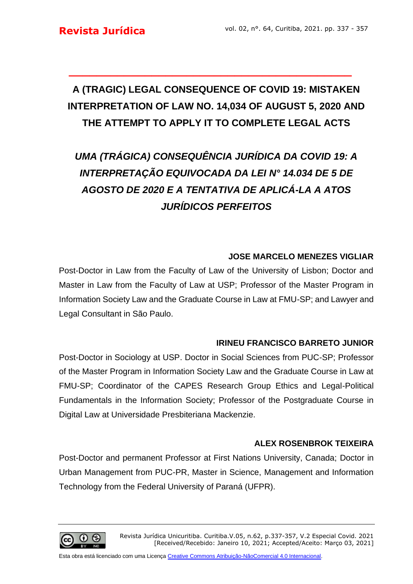# **A (TRAGIC) LEGAL CONSEQUENCE OF COVID 19: MISTAKEN INTERPRETATION OF LAW NO. 14,034 OF AUGUST 5, 2020 AND THE ATTEMPT TO APPLY IT TO COMPLETE LEGAL ACTS**

**\_\_\_\_\_\_\_\_\_\_\_\_\_\_\_\_\_\_\_\_\_\_\_\_\_\_\_\_\_\_\_\_\_\_\_\_\_\_\_\_\_**

# *UMA (TRÁGICA) CONSEQUÊNCIA JURÍDICA DA COVID 19: A INTERPRETAÇÃO EQUIVOCADA DA LEI N° 14.034 DE 5 DE AGOSTO DE 2020 E A TENTATIVA DE APLICÁ-LA A ATOS JURÍDICOS PERFEITOS*

## **JOSE MARCELO MENEZES VIGLIAR**

Post-Doctor in Law from the Faculty of Law of the University of Lisbon; Doctor and Master in Law from the Faculty of Law at USP; Professor of the Master Program in Information Society Law and the Graduate Course in Law at FMU-SP; and Lawyer and Legal Consultant in São Paulo.

#### **IRINEU FRANCISCO BARRETO JUNIOR**

Post-Doctor in Sociology at USP. Doctor in Social Sciences from PUC-SP; Professor of the Master Program in Information Society Law and the Graduate Course in Law at FMU-SP; Coordinator of the CAPES Research Group Ethics and Legal-Political Fundamentals in the Information Society; Professor of the Postgraduate Course in Digital Law at Universidade Presbiteriana Mackenzie.

### **ALEX ROSENBROK TEIXEIRA**

Post-Doctor and permanent Professor at First Nations University, Canada; Doctor in Urban Management from PUC-PR, Master in Science, Management and Information Technology from the Federal University of Paraná (UFPR).

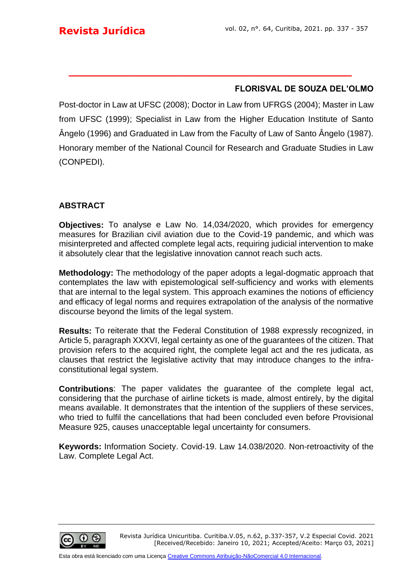#### **FLORISVAL DE SOUZA DEL'OLMO**

Post-doctor in Law at UFSC (2008); Doctor in Law from UFRGS (2004); Master in Law from UFSC (1999); Specialist in Law from the Higher Education Institute of Santo Ângelo (1996) and Graduated in Law from the Faculty of Law of Santo Ângelo (1987). Honorary member of the National Council for Research and Graduate Studies in Law (CONPEDI).

**\_\_\_\_\_\_\_\_\_\_\_\_\_\_\_\_\_\_\_\_\_\_\_\_\_\_\_\_\_\_\_\_\_\_\_\_\_\_\_\_\_**

#### **ABSTRACT**

**Objectives:** To analyse e Law No. 14,034/2020, which provides for emergency measures for Brazilian civil aviation due to the Covid-19 pandemic, and which was misinterpreted and affected complete legal acts, requiring judicial intervention to make it absolutely clear that the legislative innovation cannot reach such acts.

**Methodology:** The methodology of the paper adopts a legal-dogmatic approach that contemplates the law with epistemological self-sufficiency and works with elements that are internal to the legal system. This approach examines the notions of efficiency and efficacy of legal norms and requires extrapolation of the analysis of the normative discourse beyond the limits of the legal system.

**Results:** To reiterate that the Federal Constitution of 1988 expressly recognized, in Article 5, paragraph XXXVI, legal certainty as one of the guarantees of the citizen. That provision refers to the acquired right, the complete legal act and the res judicata, as clauses that restrict the legislative activity that may introduce changes to the infraconstitutional legal system.

**Contributions**: The paper validates the guarantee of the complete legal act, considering that the purchase of airline tickets is made, almost entirely, by the digital means available. It demonstrates that the intention of the suppliers of these services, who tried to fulfil the cancellations that had been concluded even before Provisional Measure 925, causes unacceptable legal uncertainty for consumers.

**Keywords:** Information Society. Covid-19. Law 14.038/2020. Non-retroactivity of the Law. Complete Legal Act.

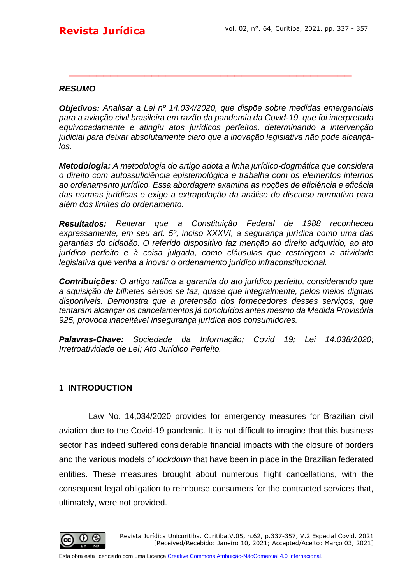#### *RESUMO*

*Objetivos: Analisar a Lei nº 14.034/2020, que dispõe sobre medidas emergenciais para a aviação civil brasileira em razão da pandemia da Covid-19, que foi interpretada equivocadamente e atingiu atos jurídicos perfeitos, determinando a intervenção judicial para deixar absolutamente claro que a inovação legislativa não pode alcançálos.*

**\_\_\_\_\_\_\_\_\_\_\_\_\_\_\_\_\_\_\_\_\_\_\_\_\_\_\_\_\_\_\_\_\_\_\_\_\_\_\_\_\_**

*Metodologia: A metodologia do artigo adota a linha jurídico-dogmática que considera o direito com autossuficiência epistemológica e trabalha com os elementos internos ao ordenamento jurídico. Essa abordagem examina as noções de eficiência e eficácia das normas jurídicas e exige a extrapolação da análise do discurso normativo para além dos limites do ordenamento.*

*Resultados: Reiterar que a Constituição Federal de 1988 reconheceu expressamente, em seu art. 5º, inciso XXXVI, a segurança jurídica como uma das garantias do cidadão. O referido dispositivo faz menção ao direito adquirido, ao ato jurídico perfeito e à coisa julgada, como cláusulas que restringem a atividade legislativa que venha a inovar o ordenamento jurídico infraconstitucional.*

*Contribuições: O artigo ratifica a garantia do ato jurídico perfeito, considerando que a aquisição de bilhetes aéreos se faz, quase que integralmente, pelos meios digitais disponíveis. Demonstra que a pretensão dos fornecedores desses serviços, que tentaram alcançar os cancelamentos já concluídos antes mesmo da Medida Provisória 925, provoca inaceitável insegurança jurídica aos consumidores.*

*Palavras-Chave: Sociedade da Informação; Covid 19; Lei 14.038/2020; Irretroatividade de Lei; Ato Jurídico Perfeito.*

#### **1 INTRODUCTION**

Law No. 14,034/2020 provides for emergency measures for Brazilian civil aviation due to the Covid-19 pandemic. It is not difficult to imagine that this business sector has indeed suffered considerable financial impacts with the closure of borders and the various models of *lockdown* that have been in place in the Brazilian federated entities. These measures brought about numerous flight cancellations, with the consequent legal obligation to reimburse consumers for the contracted services that, ultimately, were not provided.

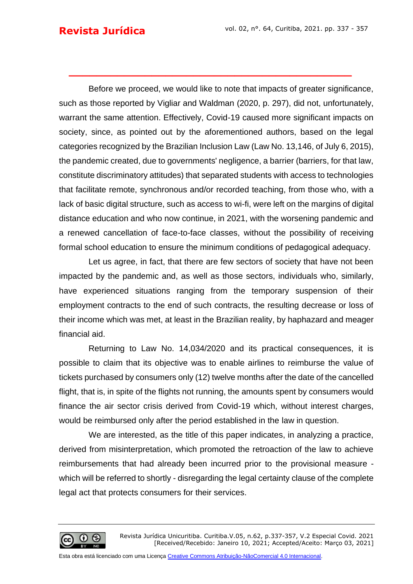## **Revista Jurídica**

Before we proceed, we would like to note that impacts of greater significance, such as those reported by Vigliar and Waldman (2020, p. 297), did not, unfortunately, warrant the same attention. Effectively, Covid-19 caused more significant impacts on society, since, as pointed out by the aforementioned authors, based on the legal categories recognized by the Brazilian Inclusion Law (Law No. 13,146, of July 6, 2015), the pandemic created, due to governments' negligence, a barrier (barriers, for that law, constitute discriminatory attitudes) that separated students with access to technologies that facilitate remote, synchronous and/or recorded teaching, from those who, with a lack of basic digital structure, such as access to wi-fi, were left on the margins of digital distance education and who now continue, in 2021, with the worsening pandemic and a renewed cancellation of face-to-face classes, without the possibility of receiving formal school education to ensure the minimum conditions of pedagogical adequacy.

**\_\_\_\_\_\_\_\_\_\_\_\_\_\_\_\_\_\_\_\_\_\_\_\_\_\_\_\_\_\_\_\_\_\_\_\_\_\_\_\_\_**

Let us agree, in fact, that there are few sectors of society that have not been impacted by the pandemic and, as well as those sectors, individuals who, similarly, have experienced situations ranging from the temporary suspension of their employment contracts to the end of such contracts, the resulting decrease or loss of their income which was met, at least in the Brazilian reality, by haphazard and meager financial aid.

Returning to Law No. 14,034/2020 and its practical consequences, it is possible to claim that its objective was to enable airlines to reimburse the value of tickets purchased by consumers only (12) twelve months after the date of the cancelled flight, that is, in spite of the flights not running, the amounts spent by consumers would finance the air sector crisis derived from Covid-19 which, without interest charges, would be reimbursed only after the period established in the law in question.

We are interested, as the title of this paper indicates, in analyzing a practice, derived from misinterpretation, which promoted the retroaction of the law to achieve reimbursements that had already been incurred prior to the provisional measure which will be referred to shortly - disregarding the legal certainty clause of the complete legal act that protects consumers for their services.

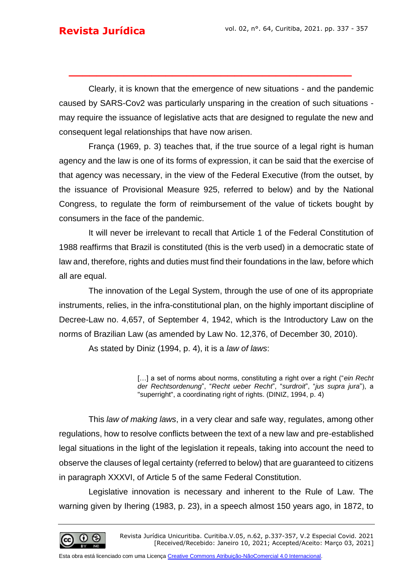Clearly, it is known that the emergence of new situations - and the pandemic caused by SARS-Cov2 was particularly unsparing in the creation of such situations may require the issuance of legislative acts that are designed to regulate the new and consequent legal relationships that have now arisen.

**\_\_\_\_\_\_\_\_\_\_\_\_\_\_\_\_\_\_\_\_\_\_\_\_\_\_\_\_\_\_\_\_\_\_\_\_\_\_\_\_\_**

França (1969, p. 3) teaches that, if the true source of a legal right is human agency and the law is one of its forms of expression, it can be said that the exercise of that agency was necessary, in the view of the Federal Executive (from the outset, by the issuance of Provisional Measure 925, referred to below) and by the National Congress, to regulate the form of reimbursement of the value of tickets bought by consumers in the face of the pandemic.

It will never be irrelevant to recall that Article 1 of the Federal Constitution of 1988 reaffirms that Brazil is constituted (this is the verb used) in a democratic state of law and, therefore, rights and duties must find their foundations in the law, before which all are equal.

The innovation of the Legal System, through the use of one of its appropriate instruments, relies, in the infra-constitutional plan, on the highly important discipline of Decree-Law no. 4,657, of September 4, 1942, which is the Introductory Law on the norms of Brazilian Law (as amended by Law No. 12,376, of December 30, 2010).

As stated by Diniz (1994, p. 4), it is a *law of laws*:

[...] a set of norms about norms, constituting a right over a right ("ein Recht *der Rechtsordenung*", "*Recht ueber Recht*", "*surdroit*", "*jus supra jura*"), a "superright", a coordinating right of rights. (DINIZ, 1994, p. 4)

This *law of making laws*, in a very clear and safe way, regulates, among other regulations, how to resolve conflicts between the text of a new law and pre-established legal situations in the light of the legislation it repeals, taking into account the need to observe the clauses of legal certainty (referred to below) that are guaranteed to citizens in paragraph XXXVI, of Article 5 of the same Federal Constitution.

Legislative innovation is necessary and inherent to the Rule of Law. The warning given by Ihering (1983, p. 23), in a speech almost 150 years ago, in 1872, to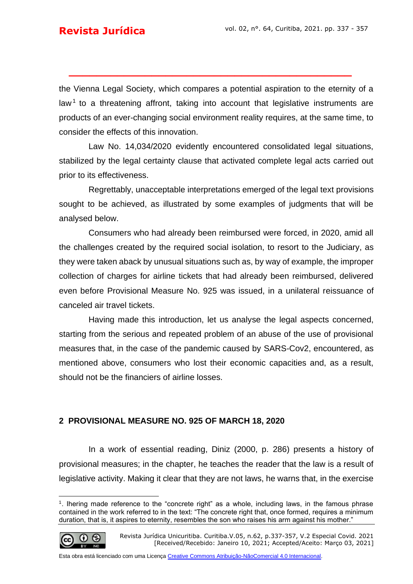the Vienna Legal Society, which compares a potential aspiration to the eternity of a law<sup>1</sup> to a threatening affront, taking into account that legislative instruments are products of an ever-changing social environment reality requires, at the same time, to consider the effects of this innovation.

**\_\_\_\_\_\_\_\_\_\_\_\_\_\_\_\_\_\_\_\_\_\_\_\_\_\_\_\_\_\_\_\_\_\_\_\_\_\_\_\_\_**

Law No. 14,034/2020 evidently encountered consolidated legal situations, stabilized by the legal certainty clause that activated complete legal acts carried out prior to its effectiveness.

Regrettably, unacceptable interpretations emerged of the legal text provisions sought to be achieved, as illustrated by some examples of judgments that will be analysed below.

Consumers who had already been reimbursed were forced, in 2020, amid all the challenges created by the required social isolation, to resort to the Judiciary, as they were taken aback by unusual situations such as, by way of example, the improper collection of charges for airline tickets that had already been reimbursed, delivered even before Provisional Measure No. 925 was issued, in a unilateral reissuance of canceled air travel tickets.

Having made this introduction, let us analyse the legal aspects concerned, starting from the serious and repeated problem of an abuse of the use of provisional measures that, in the case of the pandemic caused by SARS-Cov2, encountered, as mentioned above, consumers who lost their economic capacities and, as a result, should not be the financiers of airline losses.

#### **2 PROVISIONAL MEASURE NO. 925 OF MARCH 18, 2020**

In a work of essential reading, Diniz (2000, p. 286) presents a history of provisional measures; in the chapter, he teaches the reader that the law is a result of legislative activity. Making it clear that they are not laws, he warns that, in the exercise

$$
\bigcirc \hspace{-7.75pt} = \hspace{-7.75pt} \bigcirc \hspace{-7.75pt} = \hspace{-7.75pt} \bigcirc \hspace{-7.75pt} \bigcirc \hspace{-7.75pt} = \hspace{-7.75pt} \bigcirc \hspace{-7.75pt} \bigcirc \hspace{-7.75pt} = \hspace{-7.75pt} \bigcirc \hspace{-7.75pt} \bigcirc \hspace{-7.75pt} \bigcirc \hspace{-7.75pt} \bigcirc \hspace{-7.75pt} \bigcirc \hspace{-7.75pt} \bigcirc \hspace{-7.75pt} \bigcirc \hspace{-7.75pt} \bigcirc \hspace{-7.75pt} \bigcirc \hspace{-7.75pt} \bigcirc \hspace{-7.75pt} \bigcirc \hspace{-7.75pt} \bigcirc \hspace{-7.75pt} \bigcirc \hspace{-7.75pt} \bigcirc \hspace{-7.75pt} \bigcirc \hspace{-7.75pt} \bigcirc \hspace{-7.75pt} \bigcirc \hspace{-7.75pt} \bigcirc \hspace{-7.75pt} \bigcirc \hspace{-7.75pt} \bigcirc \hspace{-7.75pt} \bigcirc \hspace{-7.75pt} \bigcirc \hspace{-7.75pt} \bigcirc \hspace{-7.75pt} \bigcirc \hspace{-7.75pt} \bigcirc \hspace{-7.75pt} \bigcirc \hspace{-7.75pt} \bigcirc \hspace{-7.75pt} \bigcirc \hspace{-7.75pt} \bigcirc \hspace{-7.75pt} \bigcirc \hspace{-7.75pt} \bigcirc \hspace{-7.75pt} \bigcirc \hspace{-7.75pt} \bigcirc \hspace{-7.75pt} \bigcirc \hspace{-7.75pt} \bigcirc \hspace{-7.75pt} \bigcirc \hspace{-7.75pt} \bigcirc \hspace{-7.75pt} \bigcirc \hspace{-7.75pt} \bigcirc \hspace{-7.75pt} \bigcirc \hspace{-7.75pt} \bigcirc \hspace{-7.75pt} \bigcirc \hspace{-7.75pt} \bigcirc \hspace{-7.75pt} \bigcirc \hspace{-7.75pt} \bigcirc \hspace{-7.75pt} \bigcirc \hspace{-7.75pt} \bigcirc \hspace{-7.75pt} \bigcirc \hspace{-7.75pt} \bigcirc \hspace{-7.75pt} \
$$

<sup>&</sup>lt;sup>1</sup>. Ihering made reference to the "concrete right" as a whole, including laws, in the famous phrase contained in the work referred to in the text: "The concrete right that, once formed, requires a minimum duration, that is, it aspires to eternity, resembles the son who raises his arm against his mother."

Revista Jurídica Unicuritiba. Curitiba.V.05, n.62, p.337-357, V.2 Especial Covid. 2021 [Received/Recebido: Janeiro 10, 2021; Accepted/Aceito: Março 03, 2021]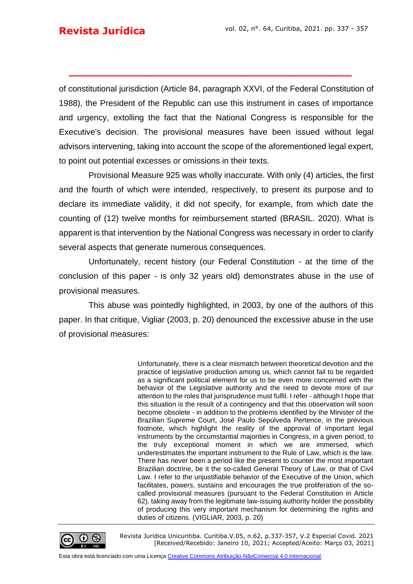of constitutional jurisdiction (Article 84, paragraph XXVI, of the Federal Constitution of 1988), the President of the Republic can use this instrument in cases of importance and urgency, extolling the fact that the National Congress is responsible for the Executive's decision. The provisional measures have been issued without legal advisors intervening, taking into account the scope of the aforementioned legal expert, to point out potential excesses or omissions in their texts.

**\_\_\_\_\_\_\_\_\_\_\_\_\_\_\_\_\_\_\_\_\_\_\_\_\_\_\_\_\_\_\_\_\_\_\_\_\_\_\_\_\_**

Provisional Measure 925 was wholly inaccurate. With only (4) articles, the first and the fourth of which were intended, respectively, to present its purpose and to declare its immediate validity, it did not specify, for example, from which date the counting of (12) twelve months for reimbursement started (BRASIL. 2020). What is apparent is that intervention by the National Congress was necessary in order to clarify several aspects that generate numerous consequences.

Unfortunately, recent history (our Federal Constitution - at the time of the conclusion of this paper - is only 32 years old) demonstrates abuse in the use of provisional measures.

This abuse was pointedly highlighted, in 2003, by one of the authors of this paper. In that critique, Vigliar (2003, p. 20) denounced the excessive abuse in the use of provisional measures:

> Unfortunately, there is a clear mismatch between theoretical devotion and the practice of legislative production among us, which cannot fail to be regarded as a significant political element for us to be even more concerned with the behavior of the Legislative authority and the need to devote more of our attention to the roles that jurisprudence must fulfil. I refer - although I hope that this situation is the result of a contingency and that this observation will soon become obsolete - in addition to the problems identified by the Minister of the Brazilian Supreme Court, José Paulo Sepúlveda Pertence, in the previous footnote, which highlight the reality of the approval of important legal instruments by the circumstantial majorities in Congress, in a given period, to the truly exceptional moment in which we are immersed, which underestimates the important instrument to the Rule of Law, which is the law. There has never been a period like the present to counter the most important Brazilian doctrine, be it the so-called General Theory of Law, or that of Civil Law. I refer to the unjustifiable behavior of the Executive of the Union, which facilitates, powers, sustains and encourages the true proliferation of the socalled provisional measures (pursuant to the Federal Constitution in Article 62), taking away from the legitimate law-issuing authority holder the possibility of producing this very important mechanism for determining the rights and duties of citizens. (VIGLIAR, 2003, p. 20)



Revista Jurídica Unicuritiba. Curitiba.V.05, n.62, p.337-357, V.2 Especial Covid. 2021 [Received/Recebido: Janeiro 10, 2021; Accepted/Aceito: Março 03, 2021]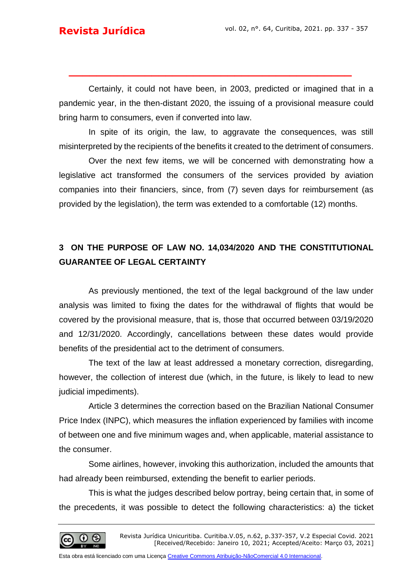Certainly, it could not have been, in 2003, predicted or imagined that in a pandemic year, in the then-distant 2020, the issuing of a provisional measure could bring harm to consumers, even if converted into law.

**\_\_\_\_\_\_\_\_\_\_\_\_\_\_\_\_\_\_\_\_\_\_\_\_\_\_\_\_\_\_\_\_\_\_\_\_\_\_\_\_\_**

In spite of its origin, the law, to aggravate the consequences, was still misinterpreted by the recipients of the benefits it created to the detriment of consumers.

Over the next few items, we will be concerned with demonstrating how a legislative act transformed the consumers of the services provided by aviation companies into their financiers, since, from (7) seven days for reimbursement (as provided by the legislation), the term was extended to a comfortable (12) months.

# **3 ON THE PURPOSE OF LAW NO. 14,034/2020 AND THE CONSTITUTIONAL GUARANTEE OF LEGAL CERTAINTY**

As previously mentioned, the text of the legal background of the law under analysis was limited to fixing the dates for the withdrawal of flights that would be covered by the provisional measure, that is, those that occurred between 03/19/2020 and 12/31/2020. Accordingly, cancellations between these dates would provide benefits of the presidential act to the detriment of consumers.

The text of the law at least addressed a monetary correction, disregarding, however, the collection of interest due (which, in the future, is likely to lead to new judicial impediments).

Article 3 determines the correction based on the Brazilian National Consumer Price Index (INPC), which measures the inflation experienced by families with income of between one and five minimum wages and, when applicable, material assistance to the consumer.

Some airlines, however, invoking this authorization, included the amounts that had already been reimbursed, extending the benefit to earlier periods.

This is what the judges described below portray, being certain that, in some of the precedents, it was possible to detect the following characteristics: a) the ticket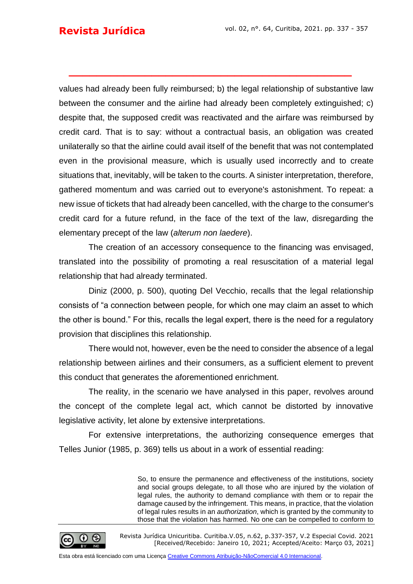values had already been fully reimbursed; b) the legal relationship of substantive law between the consumer and the airline had already been completely extinguished; c) despite that, the supposed credit was reactivated and the airfare was reimbursed by credit card. That is to say: without a contractual basis, an obligation was created unilaterally so that the airline could avail itself of the benefit that was not contemplated even in the provisional measure, which is usually used incorrectly and to create situations that, inevitably, will be taken to the courts. A sinister interpretation, therefore, gathered momentum and was carried out to everyone's astonishment. To repeat: a new issue of tickets that had already been cancelled, with the charge to the consumer's credit card for a future refund, in the face of the text of the law, disregarding the elementary precept of the law (*alterum non laedere*).

**\_\_\_\_\_\_\_\_\_\_\_\_\_\_\_\_\_\_\_\_\_\_\_\_\_\_\_\_\_\_\_\_\_\_\_\_\_\_\_\_\_**

The creation of an accessory consequence to the financing was envisaged, translated into the possibility of promoting a real resuscitation of a material legal relationship that had already terminated.

Diniz (2000, p. 500), quoting Del Vecchio, recalls that the legal relationship consists of "a connection between people, for which one may claim an asset to which the other is bound." For this, recalls the legal expert, there is the need for a regulatory provision that disciplines this relationship.

There would not, however, even be the need to consider the absence of a legal relationship between airlines and their consumers, as a sufficient element to prevent this conduct that generates the aforementioned enrichment.

The reality, in the scenario we have analysed in this paper, revolves around the concept of the complete legal act, which cannot be distorted by innovative legislative activity, let alone by extensive interpretations.

For extensive interpretations, the authorizing consequence emerges that Telles Junior (1985, p. 369) tells us about in a work of essential reading:

> So, to ensure the permanence and effectiveness of the institutions, society and social groups delegate, to all those who are injured by the violation of legal rules, the authority to demand compliance with them or to repair the damage caused by the infringement. This means, in practice, that the violation of legal rules results in an *authorization*, which is granted by the community to those that the violation has harmed. No one can be compelled to conform to



Revista Jurídica Unicuritiba. Curitiba.V.05, n.62, p.337-357, V.2 Especial Covid. 2021 [Received/Recebido: Janeiro 10, 2021; Accepted/Aceito: Março 03, 2021]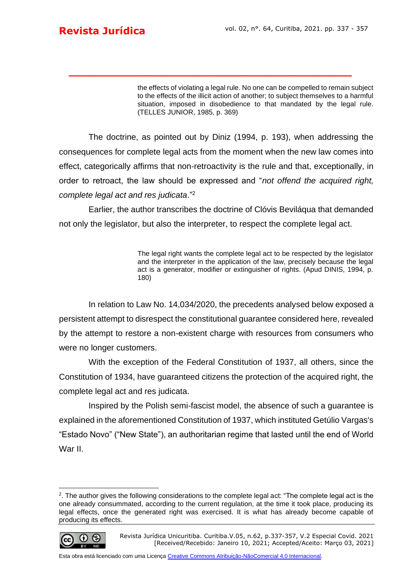the effects of violating a legal rule. No one can be compelled to remain subject to the effects of the illicit action of another; to subject themselves to a harmful situation, imposed in disobedience to that mandated by the legal rule. (TELLES JUNIOR, 1985, p. 369)

The doctrine, as pointed out by Diniz (1994, p. 193), when addressing the consequences for complete legal acts from the moment when the new law comes into effect, categorically affirms that non-retroactivity is the rule and that, exceptionally, in order to retroact, the law should be expressed and "*not offend the acquired right, complete legal act and res judicata*."<sup>2</sup>

**\_\_\_\_\_\_\_\_\_\_\_\_\_\_\_\_\_\_\_\_\_\_\_\_\_\_\_\_\_\_\_\_\_\_\_\_\_\_\_\_\_**

Earlier, the author transcribes the doctrine of Clóvis Beviláqua that demanded not only the legislator, but also the interpreter, to respect the complete legal act.

> The legal right wants the complete legal act to be respected by the legislator and the interpreter in the application of the law, precisely because the legal act is a generator, modifier or extinguisher of rights. (Apud DINIS, 1994, p. 180)

In relation to Law No. 14,034/2020, the precedents analysed below exposed a persistent attempt to disrespect the constitutional guarantee considered here, revealed by the attempt to restore a non-existent charge with resources from consumers who were no longer customers.

With the exception of the Federal Constitution of 1937, all others, since the Constitution of 1934, have guaranteed citizens the protection of the acquired right, the complete legal act and res judicata.

Inspired by the Polish semi-fascist model, the absence of such a guarantee is explained in the aforementioned Constitution of 1937, which instituted Getúlio Vargas's "Estado Novo" ("New State"), an authoritarian regime that lasted until the end of World War II.

<sup>2</sup> . The author gives the following considerations to the complete legal act: "The complete legal act is the one already consummated, according to the current regulation, at the time it took place, producing its legal effects, once the generated right was exercised. It is what has already become capable of producing its effects.



Revista Jurídica Unicuritiba. Curitiba.V.05, n.62, p.337-357, V.2 Especial Covid. 2021 [Received/Recebido: Janeiro 10, 2021; Accepted/Aceito: Março 03, 2021]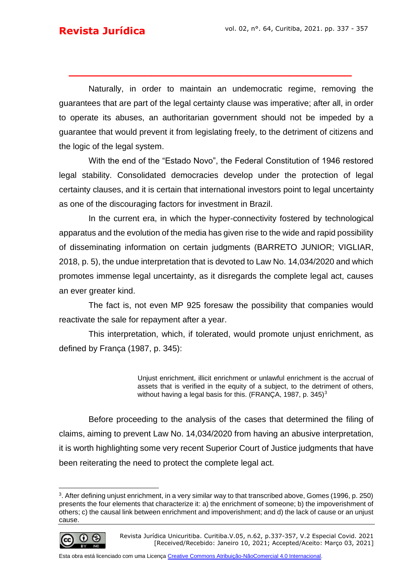Naturally, in order to maintain an undemocratic regime, removing the guarantees that are part of the legal certainty clause was imperative; after all, in order to operate its abuses, an authoritarian government should not be impeded by a guarantee that would prevent it from legislating freely, to the detriment of citizens and the logic of the legal system.

**\_\_\_\_\_\_\_\_\_\_\_\_\_\_\_\_\_\_\_\_\_\_\_\_\_\_\_\_\_\_\_\_\_\_\_\_\_\_\_\_\_**

With the end of the "Estado Novo", the Federal Constitution of 1946 restored legal stability. Consolidated democracies develop under the protection of legal certainty clauses, and it is certain that international investors point to legal uncertainty as one of the discouraging factors for investment in Brazil.

In the current era, in which the hyper-connectivity fostered by technological apparatus and the evolution of the media has given rise to the wide and rapid possibility of disseminating information on certain judgments (BARRETO JUNIOR; VIGLIAR, 2018, p. 5), the undue interpretation that is devoted to Law No. 14,034/2020 and which promotes immense legal uncertainty, as it disregards the complete legal act, causes an ever greater kind.

The fact is, not even MP 925 foresaw the possibility that companies would reactivate the sale for repayment after a year.

This interpretation, which, if tolerated, would promote unjust enrichment, as defined by França (1987, p. 345):

> Unjust enrichment, illicit enrichment or unlawful enrichment is the accrual of assets that is verified in the equity of a subject, to the detriment of others, without having a legal basis for this. (FRANÇA, 1987, p. 345)<sup>3</sup>

Before proceeding to the analysis of the cases that determined the filing of claims, aiming to prevent Law No. 14,034/2020 from having an abusive interpretation, it is worth highlighting some very recent Superior Court of Justice judgments that have been reiterating the need to protect the complete legal act.

<sup>3</sup> . After defining unjust enrichment, in a very similar way to that transcribed above, Gomes (1996, p. 250) presents the four elements that characterize it: a) the enrichment of someone; b) the impoverishment of others; c) the causal link between enrichment and impoverishment; and d) the lack of cause or an unjust cause.



Revista Jurídica Unicuritiba. Curitiba.V.05, n.62, p.337-357, V.2 Especial Covid. 2021 [Received/Recebido: Janeiro 10, 2021; Accepted/Aceito: Março 03, 2021]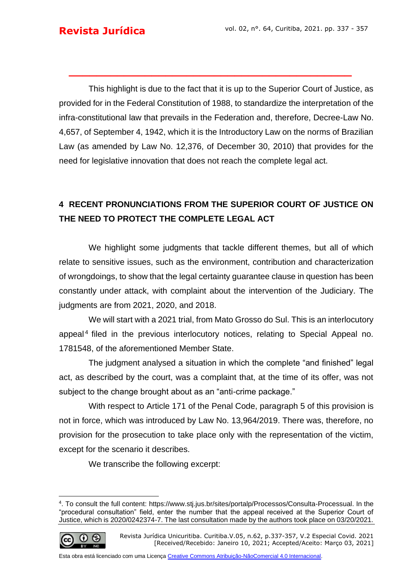This highlight is due to the fact that it is up to the Superior Court of Justice, as provided for in the Federal Constitution of 1988, to standardize the interpretation of the infra-constitutional law that prevails in the Federation and, therefore, Decree-Law No. 4,657, of September 4, 1942, which it is the Introductory Law on the norms of Brazilian Law (as amended by Law No. 12,376, of December 30, 2010) that provides for the need for legislative innovation that does not reach the complete legal act.

**\_\_\_\_\_\_\_\_\_\_\_\_\_\_\_\_\_\_\_\_\_\_\_\_\_\_\_\_\_\_\_\_\_\_\_\_\_\_\_\_\_**

# **4 RECENT PRONUNCIATIONS FROM THE SUPERIOR COURT OF JUSTICE ON THE NEED TO PROTECT THE COMPLETE LEGAL ACT**

We highlight some judgments that tackle different themes, but all of which relate to sensitive issues, such as the environment, contribution and characterization of wrongdoings, to show that the legal certainty guarantee clause in question has been constantly under attack, with complaint about the intervention of the Judiciary. The judgments are from 2021, 2020, and 2018.

We will start with a 2021 trial, from Mato Grosso do Sul. This is an interlocutory appeal<sup>4</sup> filed in the previous interlocutory notices, relating to Special Appeal no. 1781548, of the aforementioned Member State.

The judgment analysed a situation in which the complete "and finished" legal act, as described by the court, was a complaint that, at the time of its offer, was not subject to the change brought about as an "anti-crime package."

With respect to Article 171 of the Penal Code, paragraph 5 of this provision is not in force, which was introduced by Law No. 13,964/2019. There was, therefore, no provision for the prosecution to take place only with the representation of the victim, except for the scenario it describes.

We transcribe the following excerpt:

$$
\bigcirc \hspace{-3.75pt} \bigcirc \hspace{-3.75pt} \bigcirc \hspace{-3.75pt} \bigcirc \hspace{-3.75pt} \bigcirc
$$

<sup>4</sup> . To consult the full content: [https://www.stj.jus.br/sites/portalp/Processos/Consulta-Processual.](https://www.stj.jus.br/sites/portalp/Processos/Consulta-Processual) In the "procedural consultation" field, enter the number that the appeal received at the Superior Court of Justice, which is 2020/0242374-7. The last consultation made by the authors took place on 03/20/2021.

Revista Jurídica Unicuritiba. Curitiba.V.05, n.62, p.337-357, V.2 Especial Covid. 2021 [Received/Recebido: Janeiro 10, 2021; Accepted/Aceito: Março 03, 2021]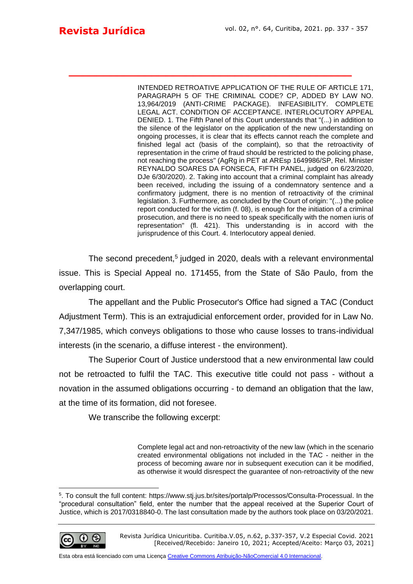INTENDED RETROATIVE APPLICATION OF THE RULE OF ARTICLE 171, PARAGRAPH 5 OF THE CRIMINAL CODE? CP, ADDED BY LAW NO. 13,964/2019 (ANTI-CRIME PACKAGE). INFEASIBILITY. COMPLETE LEGAL ACT. CONDITION OF ACCEPTANCE. INTERLOCUTORY APPEAL DENIED. 1. The Fifth Panel of this Court understands that "(...) in addition to the silence of the legislator on the application of the new understanding on ongoing processes, it is clear that its effects cannot reach the complete and finished legal act (basis of the complaint), so that the retroactivity of representation in the crime of fraud should be restricted to the policing phase, not reaching the process" (AgRg in PET at AREsp 1649986/SP, Rel. Minister REYNALDO SOARES DA FONSECA, FIFTH PANEL, judged on 6/23/2020, DJe 6/30/2020). 2. Taking into account that a criminal complaint has already been received, including the issuing of a condemnatory sentence and a confirmatory judgment, there is no mention of retroactivity of the criminal legislation. 3. Furthermore, as concluded by the Court of origin: "(...) the police report conducted for the victim (f. 08), is enough for the initiation of a criminal prosecution, and there is no need to speak specifically with the nomen iuris of representation" (fl. 421). This understanding is in accord with the jurisprudence of this Court. 4. Interlocutory appeal denied.

The second precedent,<sup>5</sup> judged in 2020, deals with a relevant environmental issue. This is Special Appeal no. 171455, from the State of São Paulo, from the overlapping court.

**\_\_\_\_\_\_\_\_\_\_\_\_\_\_\_\_\_\_\_\_\_\_\_\_\_\_\_\_\_\_\_\_\_\_\_\_\_\_\_\_\_**

The appellant and the Public Prosecutor's Office had signed a TAC (Conduct Adjustment Term). This is an extrajudicial enforcement order, provided for in Law No. 7,347/1985, which conveys obligations to those who cause losses to trans-individual interests (in the scenario, a diffuse interest - the environment).

The Superior Court of Justice understood that a new environmental law could not be retroacted to fulfil the TAC. This executive title could not pass - without a novation in the assumed obligations occurring - to demand an obligation that the law, at the time of its formation, did not foresee.

We transcribe the following excerpt:

Complete legal act and non-retroactivity of the new law (which in the scenario created environmental obligations not included in the TAC - neither in the process of becoming aware nor in subsequent execution can it be modified, as otherwise it would disrespect the guarantee of non-retroactivity of the new

<sup>5</sup> . To consult the full content: [https://www.stj.jus.br/sites/portalp/Processos/Consulta-Processual.](https://www.stj.jus.br/sites/portalp/Processos/Consulta-Processual) In the "procedural consultation" field, enter the number that the appeal received at the Superior Court of Justice, which is 2017/0318840-0. The last consultation made by the authors took place on 03/20/2021.



Revista Jurídica Unicuritiba. Curitiba.V.05, n.62, p.337-357, V.2 Especial Covid. 2021 [Received/Recebido: Janeiro 10, 2021; Accepted/Aceito: Março 03, 2021]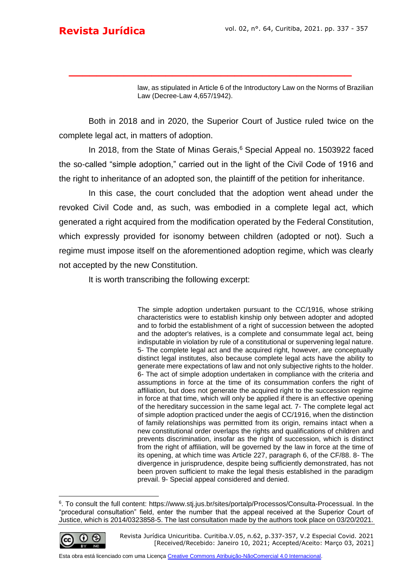law, as stipulated in Article 6 of the Introductory Law on the Norms of Brazilian Law (Decree-Law 4,657/1942).

Both in 2018 and in 2020, the Superior Court of Justice ruled twice on the complete legal act, in matters of adoption.

**\_\_\_\_\_\_\_\_\_\_\_\_\_\_\_\_\_\_\_\_\_\_\_\_\_\_\_\_\_\_\_\_\_\_\_\_\_\_\_\_\_**

In 2018, from the State of Minas Gerais,<sup>6</sup> Special Appeal no. 1503922 faced the so-called "simple adoption," carried out in the light of the Civil Code of 1916 and the right to inheritance of an adopted son, the plaintiff of the petition for inheritance.

In this case, the court concluded that the adoption went ahead under the revoked Civil Code and, as such, was embodied in a complete legal act, which generated a right acquired from the modification operated by the Federal Constitution, which expressly provided for isonomy between children (adopted or not). Such a regime must impose itself on the aforementioned adoption regime, which was clearly not accepted by the new Constitution.

It is worth transcribing the following excerpt:

The simple adoption undertaken pursuant to the CC/1916, whose striking characteristics were to establish kinship only between adopter and adopted and to forbid the establishment of a right of succession between the adopted and the adopter's relatives, is a complete and consummate legal act, being indisputable in violation by rule of a constitutional or supervening legal nature. 5- The complete legal act and the acquired right, however, are conceptually distinct legal institutes, also because complete legal acts have the ability to generate mere expectations of law and not only subjective rights to the holder. 6- The act of simple adoption undertaken in compliance with the criteria and assumptions in force at the time of its consummation confers the right of affiliation, but does not generate the acquired right to the succession regime in force at that time, which will only be applied if there is an effective opening of the hereditary succession in the same legal act. 7- The complete legal act of simple adoption practiced under the aegis of CC/1916, when the distinction of family relationships was permitted from its origin, remains intact when a new constitutional order overlaps the rights and qualifications of children and prevents discrimination, insofar as the right of succession, which is distinct from the right of affiliation, will be governed by the law in force at the time of its opening, at which time was Article 227, paragraph 6, of the CF/88. 8- The divergence in jurisprudence, despite being sufficiently demonstrated, has not been proven sufficient to make the legal thesis established in the paradigm prevail. 9- Special appeal considered and denied.

<sup>&</sup>lt;sup>6</sup>. To consult the full content: [https://www.stj.jus.br/sites/portalp/Processos/Consulta-Processual.](https://www.stj.jus.br/sites/portalp/Processos/Consulta-Processual) In the "procedural consultation" field, enter the number that the appeal received at the Superior Court of Justice, which is 2014/0323858-5. The last consultation made by the authors took place on 03/20/2021.



Revista Jurídica Unicuritiba. Curitiba.V.05, n.62, p.337-357, V.2 Especial Covid. 2021 [Received/Recebido: Janeiro 10, 2021; Accepted/Aceito: Março 03, 2021]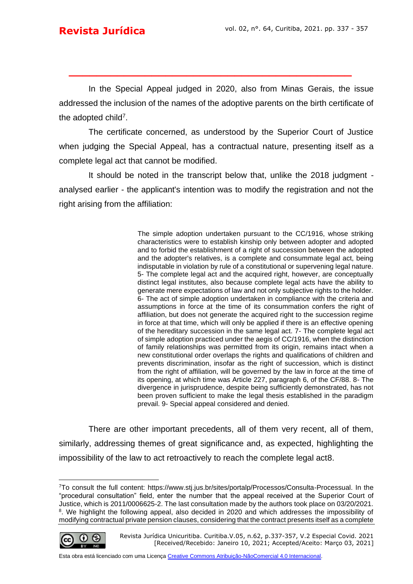In the Special Appeal judged in 2020, also from Minas Gerais, the issue addressed the inclusion of the names of the adoptive parents on the birth certificate of the adopted child<sup>7</sup>.

**\_\_\_\_\_\_\_\_\_\_\_\_\_\_\_\_\_\_\_\_\_\_\_\_\_\_\_\_\_\_\_\_\_\_\_\_\_\_\_\_\_**

The certificate concerned, as understood by the Superior Court of Justice when judging the Special Appeal, has a contractual nature, presenting itself as a complete legal act that cannot be modified.

It should be noted in the transcript below that, unlike the 2018 judgment analysed earlier - the applicant's intention was to modify the registration and not the right arising from the affiliation:

> The simple adoption undertaken pursuant to the CC/1916, whose striking characteristics were to establish kinship only between adopter and adopted and to forbid the establishment of a right of succession between the adopted and the adopter's relatives, is a complete and consummate legal act, being indisputable in violation by rule of a constitutional or supervening legal nature. 5- The complete legal act and the acquired right, however, are conceptually distinct legal institutes, also because complete legal acts have the ability to generate mere expectations of law and not only subjective rights to the holder. 6- The act of simple adoption undertaken in compliance with the criteria and assumptions in force at the time of its consummation confers the right of affiliation, but does not generate the acquired right to the succession regime in force at that time, which will only be applied if there is an effective opening of the hereditary succession in the same legal act. 7- The complete legal act of simple adoption practiced under the aegis of CC/1916, when the distinction of family relationships was permitted from its origin, remains intact when a new constitutional order overlaps the rights and qualifications of children and prevents discrimination, insofar as the right of succession, which is distinct from the right of affiliation, will be governed by the law in force at the time of its opening, at which time was Article 227, paragraph 6, of the CF/88. 8- The divergence in jurisprudence, despite being sufficiently demonstrated, has not been proven sufficient to make the legal thesis established in the paradigm prevail. 9- Special appeal considered and denied.

There are other important precedents, all of them very recent, all of them, similarly, addressing themes of great significance and, as expected, highlighting the impossibility of the law to act retroactively to reach the complete legal act8.

<sup>7</sup>To consult the full content: [https://www.stj.jus.br/sites/portalp/Processos/Consulta-Processual.](https://www.stj.jus.br/sites/portalp/Processos/Consulta-Processual) In the "procedural consultation" field, enter the number that the appeal received at the Superior Court of Justice, which is 2011/0006625-2. The last consultation made by the authors took place on 03/20/2021. <sup>8</sup>. We highlight the following appeal, also decided in 2020 and which addresses the impossibility of modifying contractual private pension clauses, considering that the contract presents itself as a complete



Revista Jurídica Unicuritiba. Curitiba.V.05, n.62, p.337-357, V.2 Especial Covid. 2021 [Received/Recebido: Janeiro 10, 2021; Accepted/Aceito: Março 03, 2021]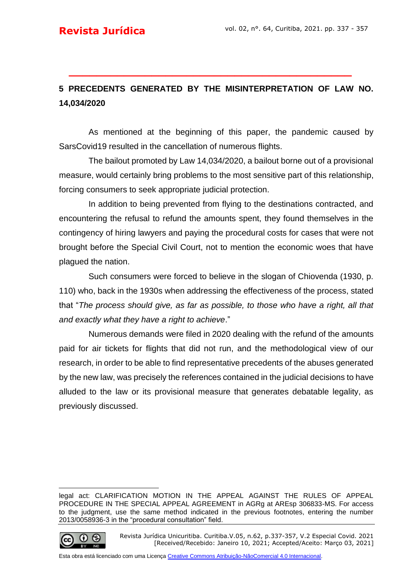## **5 PRECEDENTS GENERATED BY THE MISINTERPRETATION OF LAW NO. 14,034/2020**

**\_\_\_\_\_\_\_\_\_\_\_\_\_\_\_\_\_\_\_\_\_\_\_\_\_\_\_\_\_\_\_\_\_\_\_\_\_\_\_\_\_**

As mentioned at the beginning of this paper, the pandemic caused by SarsCovid19 resulted in the cancellation of numerous flights.

The bailout promoted by Law 14,034/2020, a bailout borne out of a provisional measure, would certainly bring problems to the most sensitive part of this relationship, forcing consumers to seek appropriate judicial protection.

In addition to being prevented from flying to the destinations contracted, and encountering the refusal to refund the amounts spent, they found themselves in the contingency of hiring lawyers and paying the procedural costs for cases that were not brought before the Special Civil Court, not to mention the economic woes that have plagued the nation.

Such consumers were forced to believe in the slogan of Chiovenda (1930, p. 110) who, back in the 1930s when addressing the effectiveness of the process, stated that "*The process should give, as far as possible, to those who have a right, all that and exactly what they have a right to achieve*."

Numerous demands were filed in 2020 dealing with the refund of the amounts paid for air tickets for flights that did not run, and the methodological view of our research, in order to be able to find representative precedents of the abuses generated by the new law, was precisely the references contained in the judicial decisions to have alluded to the law or its provisional measure that generates debatable legality, as previously discussed.

legal act: CLARIFICATION MOTION IN THE APPEAL AGAINST THE RULES OF APPEAL PROCEDURE IN THE SPECIAL APPEAL AGREEMENT in AGRg at AREsp 306833-MS. For access to the judgment, use the same method indicated in the previous footnotes, entering the number 2013/0058936-3 in the "procedural consultation" field.



Revista Jurídica Unicuritiba. Curitiba.V.05, n.62, p.337-357, V.2 Especial Covid. 2021 [Received/Recebido: Janeiro 10, 2021; Accepted/Aceito: Março 03, 2021]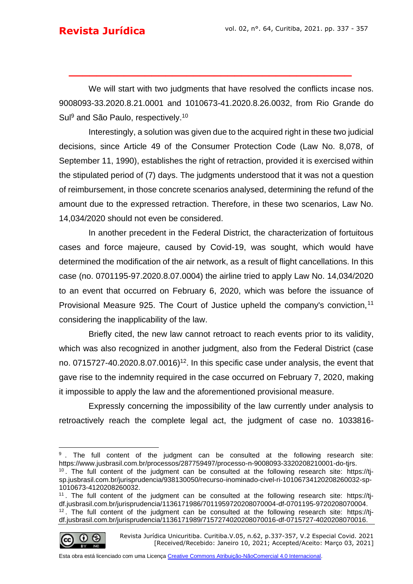We will start with two judgments that have resolved the conflicts incase nos. 9008093-33.2020.8.21.0001 and 1010673-41.2020.8.26.0032, from Rio Grande do Sul<sup>9</sup> and São Paulo, respectively.<sup>10</sup>

**\_\_\_\_\_\_\_\_\_\_\_\_\_\_\_\_\_\_\_\_\_\_\_\_\_\_\_\_\_\_\_\_\_\_\_\_\_\_\_\_\_**

Interestingly, a solution was given due to the acquired right in these two judicial decisions, since Article 49 of the Consumer Protection Code (Law No. 8,078, of September 11, 1990), establishes the right of retraction, provided it is exercised within the stipulated period of (7) days. The judgments understood that it was not a question of reimbursement, in those concrete scenarios analysed, determining the refund of the amount due to the expressed retraction. Therefore, in these two scenarios, Law No. 14,034/2020 should not even be considered.

In another precedent in the Federal District, the characterization of fortuitous cases and force majeure, caused by Covid-19, was sought, which would have determined the modification of the air network, as a result of flight cancellations. In this case (no. 0701195-97.2020.8.07.0004) the airline tried to apply Law No. 14,034/2020 to an event that occurred on February 6, 2020, which was before the issuance of Provisional Measure 925. The Court of Justice upheld the company's conviction,<sup>11</sup> considering the inapplicability of the law.

Briefly cited, the new law cannot retroact to reach events prior to its validity, which was also recognized in another judgment, also from the Federal District (case no. 0715727-40.2020.8.07.0016)<sup>12</sup>. In this specific case under analysis, the event that gave rise to the indemnity required in the case occurred on February 7, 2020, making it impossible to apply the law and the aforementioned provisional measure.

Expressly concerning the impossibility of the law currently under analysis to retroactively reach the complete legal act, the judgment of [case no. 1033816-](https://www.jusbrasil.com.br/processos/336875186/processo-n-1033816-0720208260114-do-tjsp)

<sup>11</sup> . The full content of the judgment can be consulted at the following research site: [https://tj](https://tj-df.jusbrasil.com.br/jurisprudencia/1136171986/7011959720208070004-df-0701195-9720208070004)[df.jusbrasil.com.br/jurisprudencia/1136171986/7011959720208070004-df-0701195-9720208070004.](https://tj-df.jusbrasil.com.br/jurisprudencia/1136171986/7011959720208070004-df-0701195-9720208070004)  $12$ . The full content of the judgment can be consulted at the following research site: [https://tj](https://tj-df.jusbrasil.com.br/jurisprudencia/1136171989/7157274020208070016-df-0715727-4020208070016)[df.jusbrasil.com.br/jurisprudencia/1136171989/7157274020208070016-df-0715727-4020208070016.](https://tj-df.jusbrasil.com.br/jurisprudencia/1136171989/7157274020208070016-df-0715727-4020208070016)



Revista Jurídica Unicuritiba. Curitiba.V.05, n.62, p.337-357, V.2 Especial Covid. 2021 [Received/Recebido: Janeiro 10, 2021; Accepted/Aceito: Março 03, 2021]

<sup>&</sup>lt;sup>9</sup>. The full content of the judgment can be consulted at the following research site: [https://www.jusbrasil.com.br/processos/287759497/processo-n-9008093-3320208210001-do-tjrs.](https://www.jusbrasil.com.br/processos/287759497/processo-n-9008093-3320208210001-do-tjrs)

 $10$ . The full content of the judgment can be consulted at the following research site: [https://tj](https://tj-sp.jusbrasil.com.br/jurisprudencia/938130050/recurso-inominado-civel-ri-10106734120208260032-sp-1010673-4120208260032)[sp.jusbrasil.com.br/jurisprudencia/938130050/recurso-inominado-civel-ri-10106734120208260032-sp-](https://tj-sp.jusbrasil.com.br/jurisprudencia/938130050/recurso-inominado-civel-ri-10106734120208260032-sp-1010673-4120208260032)[1010673-4120208260032.](https://tj-sp.jusbrasil.com.br/jurisprudencia/938130050/recurso-inominado-civel-ri-10106734120208260032-sp-1010673-4120208260032)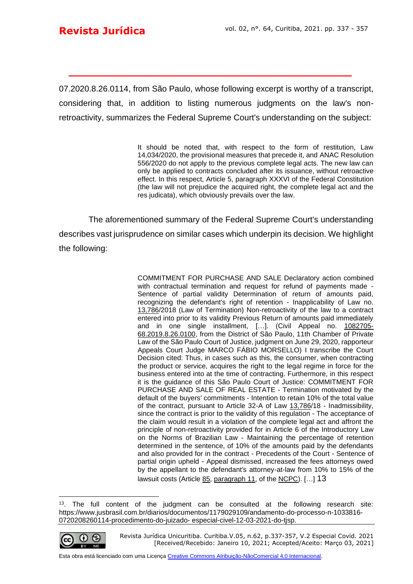[07.2020.8.26.0114,](https://www.jusbrasil.com.br/processos/336875186/processo-n-1033816-0720208260114-do-tjsp) from São Paulo, whose following excerpt is worthy of a transcript, considering that, in addition to listing numerous judgments on the law's nonretroactivity, summarizes the Federal Supreme Court's understanding on the subject:

**\_\_\_\_\_\_\_\_\_\_\_\_\_\_\_\_\_\_\_\_\_\_\_\_\_\_\_\_\_\_\_\_\_\_\_\_\_\_\_\_\_**

It should be noted that, with respect to the form of restitution, Law [14,034/](https://www.jusbrasil.com.br/legislacao/890500425/lei-14034-20)2020, the provisional measures that precede it, and [ANAC](https://www.jusbrasil.com.br/legislacao/96389/lei-de-criacao-da-agencia-nacional-de-aviacao-civil-lei-11182-05) Resolution 556/2020 do not apply to the previous complete legal acts. The new law can only be applied to contracts concluded after its issuance, without retroactive effect. In this respect, [Article 5,](https://www.jusbrasil.com.br/topicos/10641516/artigo-5-da-constitui%C3%A7%C3%A3o-federal-de-1988) paragraph [XXXVI](https://www.jusbrasil.com.br/topicos/10729579/inciso-xxxvi-do-artigo-5-da-constitui%C3%A7%C3%A3o-federal-de-1988) of the [Federal Constitution](https://www.jusbrasil.com.br/legislacao/155571402/constitui%C3%A7%C3%A3o-federal-constitui%C3%A7%C3%A3o-da-republica-federativa-do-brasil-1988) (the law will not prejudice the acquired right, the complete legal act and the res judicata), which obviously prevails over the law.

The aforementioned summary of the Federal Supreme Court's understanding describes vast jurisprudence on similar cases which underpin its decision. We highlight the following:

> COMMITMENT FOR PURCHASE AND SALE Declaratory action combined with contractual termination and request for refund of payments made - Sentence of partial validity Determination of return of amounts paid, recognizing the defendant's right of retention - Inapplicability of Law no. [13,786/](https://www.jusbrasil.com.br/legislacao/661763806/lei-13786-18)2018 (Law of Termination) Non-retroactivity of the law to a contract entered into prior to its validity Previous Return of amounts paid immediately and in one single installment, […]. (Civil Appeal no. [1082705-](https://www.jusbrasil.com.br/consulta-processual/goto/1082705-68.2019.8.26.0100) [68.2019.8.26.0100,](https://www.jusbrasil.com.br/consulta-processual/goto/1082705-68.2019.8.26.0100) from the District of São Paulo, 11th Chamber of Private Law of the São Paulo Court of Justice, judgment on June 29, 2020, rapporteur Appeals Court Judge MARCO FÁBIO MORSELLO) I transcribe the Court Decision cited: Thus, in cases such as this, the consumer, when contracting the product or service, acquires the right to the legal regime in force for the business entered into at the time of contracting. Furthermore, in this respect it is the guidance of this São Paulo Court of Justice: COMMITMENT FOR PURCHASE AND SALE OF REAL ESTATE - Termination motivated by the default of the buyers' commitments - Intention to retain 10% of the total value of the contract, pursuant to Article 32-A of Law [13,786/](https://www.jusbrasil.com.br/legislacao/661763806/lei-13786-18)18 - Inadmissibility, since the contract is prior to the validity of this regulation - The acceptance of the claim would result in a violation of the complete legal act and affront the principle of non-retroactivity provided for in Article 6 of the Introductory Law on the Norms of Brazilian Law - Maintaining the percentage of retention determined in the sentence, of 10% of the amounts paid by the defendants and also provided for in the contract - Precedents of the Court - Sentence of partial origin upheld - Appeal dismissed, increased the fees attorneys owed by the appellant to the defendant's attorney-at-law from 10% to 15% of the lawsuit costs (Article [85,](https://www.jusbrasil.com.br/topicos/28895767/artigo-85-da-lei-n-13105-de-16-de-marco-de-2015) [paragraph 11,](https://www.jusbrasil.com.br/topicos/28895717/par%C3%A1grafo-11-artigo-85-da-lei-n-13105-de-16-de-marco-de-2015) of the [NCPC\)](https://www.jusbrasil.com.br/legislacao/174788361/lei-13105-15). [...] 13

<sup>&</sup>lt;sup>13</sup>. The full content of the judgment can be consulted at the following research site: https://www.jusbrasil.com.br/diarios/documentos/1179029109/andamento-do-processo-n-1033816- 0720208260114-procedimento-do-juizado- [especial-civel-12-03-2021-do-tjsp.](https://www.jusbrasil.com.br/diarios/documentos/1179029109/andamento-do-processo-n-1033816-0720208260114-procedimento-do-juizado-especial-civel-12-03-2021-do-tjsp)



Revista Jurídica Unicuritiba. Curitiba.V.05, n.62, p.337-357, V.2 Especial Covid. 2021 [Received/Recebido: Janeiro 10, 2021; Accepted/Aceito: Março 03, 2021]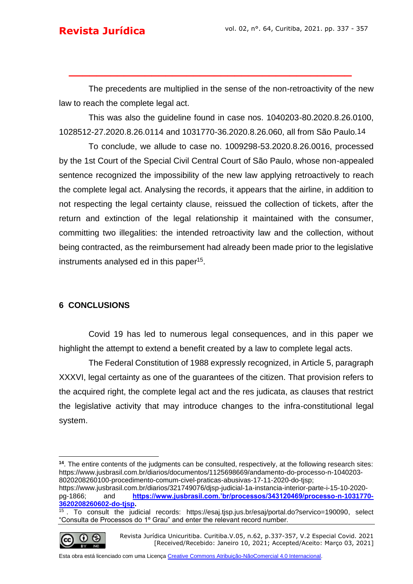The precedents are multiplied in the sense of the non-retroactivity of the new law to reach the complete legal act.

**\_\_\_\_\_\_\_\_\_\_\_\_\_\_\_\_\_\_\_\_\_\_\_\_\_\_\_\_\_\_\_\_\_\_\_\_\_\_\_\_\_**

This was also the guideline found in case nos. 1040203-80.2020.8.26.0100, [1028512-27.2020.8.26.0114](https://www.jusbrasil.com.br/consulta-processual/goto/1028512-27.2020.8.26.0114) and 1031770-36.2020.8.26.060, all from São Paulo.14

To conclude, we allude to case no. 1009298-53.2020.8.26.0016, processed by the 1st Court of the Special Civil Central Court of São Paulo, whose non-appealed sentence recognized the impossibility of the new law applying retroactively to reach the complete legal act. Analysing the records, it appears that the airline, in addition to not respecting the legal certainty clause, reissued the collection of tickets, after the return and extinction of the legal relationship it maintained with the consumer, committing two illegalities: the intended retroactivity law and the collection, without being contracted, as the reimbursement had already been made prior to the legislative instruments analysed ed in this paper<sup>15</sup>.

#### **6 CONCLUSIONS**

Covid 19 has led to numerous legal consequences, and in this paper we highlight the attempt to extend a benefit created by a law to complete legal acts.

The Federal Constitution of 1988 expressly recognized, in Article 5, paragraph XXXVI, legal certainty as one of the guarantees of the citizen. That provision refers to the acquired right, the complete legal act and the res judicata, as clauses that restrict the legislative activity that may introduce changes to the infra-constitutional legal system.

 $\frac{15}{15}$ . To consult the judicial records: [https://esaj.tjsp.jus.br/esaj/portal.do?servico=190090,](https://esaj.tjsp.jus.br/esaj/portal.do?servico=190090) select "Consulta de Processos do 1º Grau" and enter the relevant record number.



Revista Jurídica Unicuritiba. Curitiba.V.05, n.62, p.337-357, V.2 Especial Covid. 2021 [Received/Recebido: Janeiro 10, 2021; Accepted/Aceito: Março 03, 2021]

**<sup>14</sup>**. The entire contents of the judgments can be consulted, respectively, at the following research sites: [https://www.jusbrasil.com.br/diarios/documentos/1125698669/andamento-do-processo-n-1040203-](https://www.jusbrasil.com.br/diarios/documentos/1125698669/andamento-do-processo-n-1040203-8020208260100-procedimento-comum-civel-praticas-abusivas-17-11-2020-do-tjsp) [8020208260100-procedimento-comum-civel-praticas-abusivas-17-11-2020-do-tjsp;](https://www.jusbrasil.com.br/diarios/documentos/1125698669/andamento-do-processo-n-1040203-8020208260100-procedimento-comum-civel-praticas-abusivas-17-11-2020-do-tjsp)

[https://www.jusbrasil.com.br/diarios/321749076/djsp-judicial-1a-instancia-interior-parte-i-15-10-2020](https://www.jusbrasil.com.br/diarios/321749076/djsp-judicial-1a-instancia-interior-parte-i-15-10-2020-pg-1866) [pg-1866;](https://www.jusbrasil.com.br/diarios/321749076/djsp-judicial-1a-instancia-interior-parte-i-15-10-2020-pg-1866) and **[https://www.jusbrasil.com.'br/processos/343120469/processo-n-1031770-](https://www.jusbrasil.com.’br/processos/343120469/processo-n-1031770-3620208260602-do-tjsp) [3620208260602-do-tjsp.](https://www.jusbrasil.com.’br/processos/343120469/processo-n-1031770-3620208260602-do-tjsp)**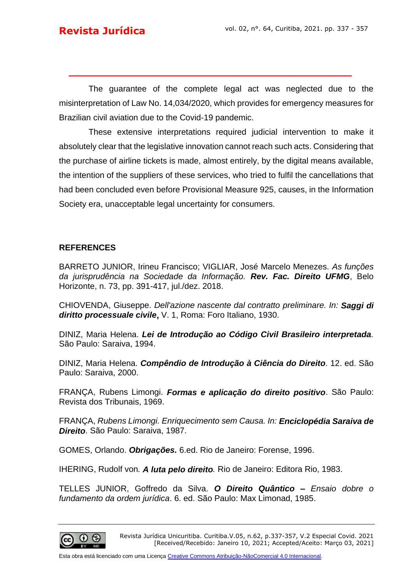The guarantee of the complete legal act was neglected due to the misinterpretation of Law No. 14,034/2020, which provides for emergency measures for Brazilian civil aviation due to the Covid-19 pandemic.

**\_\_\_\_\_\_\_\_\_\_\_\_\_\_\_\_\_\_\_\_\_\_\_\_\_\_\_\_\_\_\_\_\_\_\_\_\_\_\_\_\_**

These extensive interpretations required judicial intervention to make it absolutely clear that the legislative innovation cannot reach such acts. Considering that the purchase of airline tickets is made, almost entirely, by the digital means available, the intention of the suppliers of these services, who tried to fulfil the cancellations that had been concluded even before Provisional Measure 925, causes, in the Information Society era, unacceptable legal uncertainty for consumers.

#### **REFERENCES**

BARRETO JUNIOR, Irineu Francisco; VIGLIAR, José Marcelo Menezes. *As funções da jurisprudência na Sociedade da Informação. Rev. Fac. Direito UFMG*, Belo Horizonte, n. 73, pp. 391-417, jul./dez. 2018.

CHIOVENDA, Giuseppe. *Dell'azione nascente dal contratto preliminare. In: Saggi di diritto processuale civile***,** V. 1, Roma: Foro Italiano, 1930.

DINIZ, Maria Helena. *Lei de Introdução ao Código Civil Brasileiro interpretada.* São Paulo: Saraiva, 1994.

DINIZ, Maria Helena. *Compêndio de Introdução à Ciência do Direito*. 12. ed. São Paulo: Saraiva, 2000.

FRANÇA, Rubens Limongi. *Formas e aplicação do direito positivo*. São Paulo: Revista dos Tribunais, 1969.

FRANÇA, *Rubens Limongi. Enriquecimento sem Causa. In: Enciclopédia Saraiva de Direito*. São Paulo: Saraiva, 1987.

GOMES, Orlando. *Obrigações.* 6.ed. Rio de Janeiro: Forense, 1996.

IHERING, Rudolf von*. A luta pelo direito.* Rio de Janeiro: Editora Rio, 1983.

TELLES JUNIOR, Goffredo da Silva. *O Direito Quântico – Ensaio dobre o fundamento da ordem jurídica*. 6. ed. São Paulo: Max Limonad, 1985.